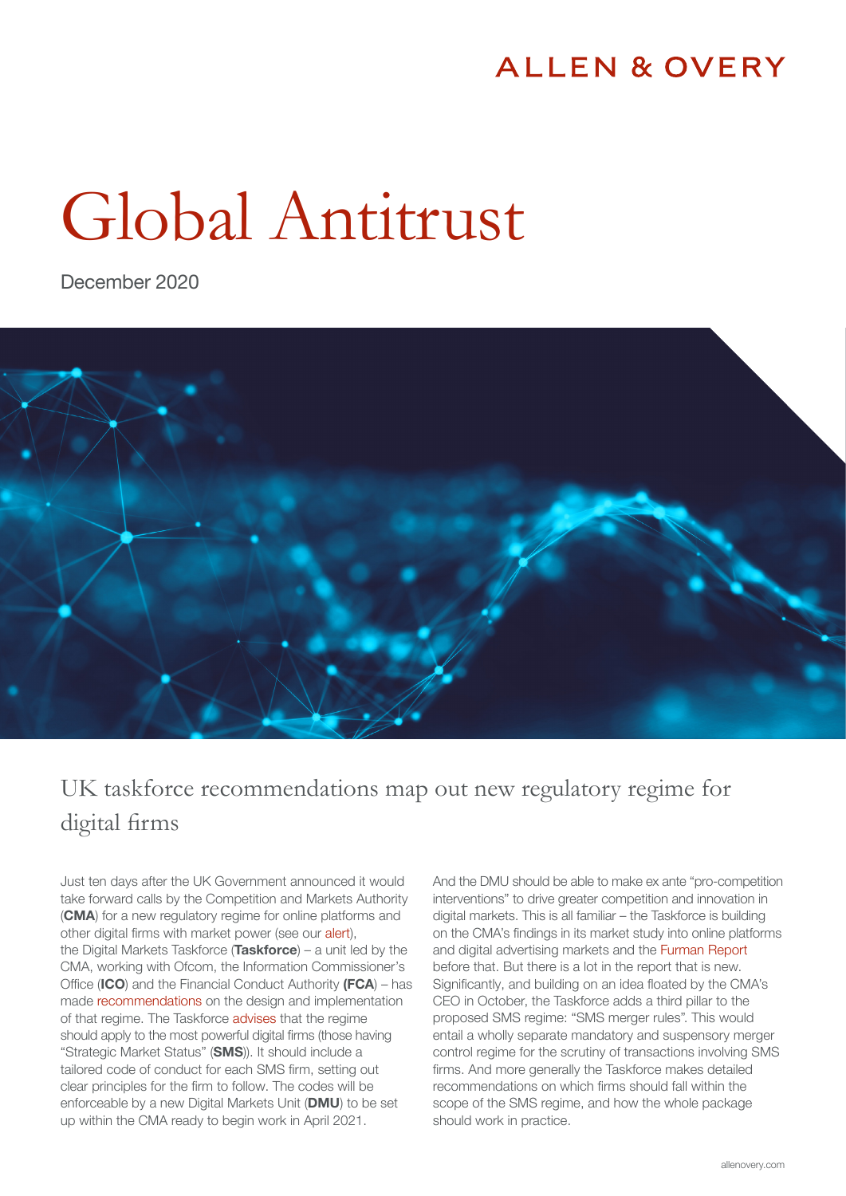# **ALLEN & OVERY**

# Global Antitrust

December 2020



## UK taskforce recommendations map out new regulatory regime for digital firms

Just ten days after the UK Government announced it would take forward calls by the Competition and Markets Authority (CMA) for a new regulatory regime for online platforms and other digital firms with market power (see our [alert](https://www.allenovery.com/en-gb/global/news-and-insights/publications/uk-digital-markets-unit-to-start-operations-in-april)), the Digital Markets Taskforce (Taskforce) – a unit led by the CMA, working with Ofcom, the Information Commissioner's Office (ICO) and the Financial Conduct Authority (FCA) – has made [recommendations](https://www.gov.uk/government/news/cma-advises-government-on-new-regulatory-regime-for-tech-giants?utm_source=71195ade-a477-4d7d-8334-e41ce4077f3b&utm_medium=email&utm_campaign=govuk-notifications&utm_content=immediate) on the design and implementation of that regime. The Taskforce [advises](https://assets.publishing.service.gov.uk/media/5fce7567e90e07562f98286c/Digital_Taskforce_-_Advice_--.pdf) that the regime should apply to the most powerful digital firms (those having "Strategic Market Status" (SMS)). It should include a tailored code of conduct for each SMS firm, setting out clear principles for the firm to follow. The codes will be enforceable by a new Digital Markets Unit (DMU) to be set up within the CMA ready to begin work in April 2021.

And the DMU should be able to make ex ante "pro-competition interventions" to drive greater competition and innovation in digital markets. This is all familiar – the Taskforce is building on the CMA's findings in its market study into online platforms and digital advertising markets and the [Furman Report](https://www.allenovery.com/en-gb/global/news-and-insights/publications/furman-report-on-unlocking-digital-competition) before that. But there is a lot in the report that is new. Significantly, and building on an idea floated by the CMA's CEO in October, the Taskforce adds a third pillar to the proposed SMS regime: "SMS merger rules". This would entail a wholly separate mandatory and suspensory merger control regime for the scrutiny of transactions involving SMS firms. And more generally the Taskforce makes detailed recommendations on which firms should fall within the scope of the SMS regime, and how the whole package should work in practice.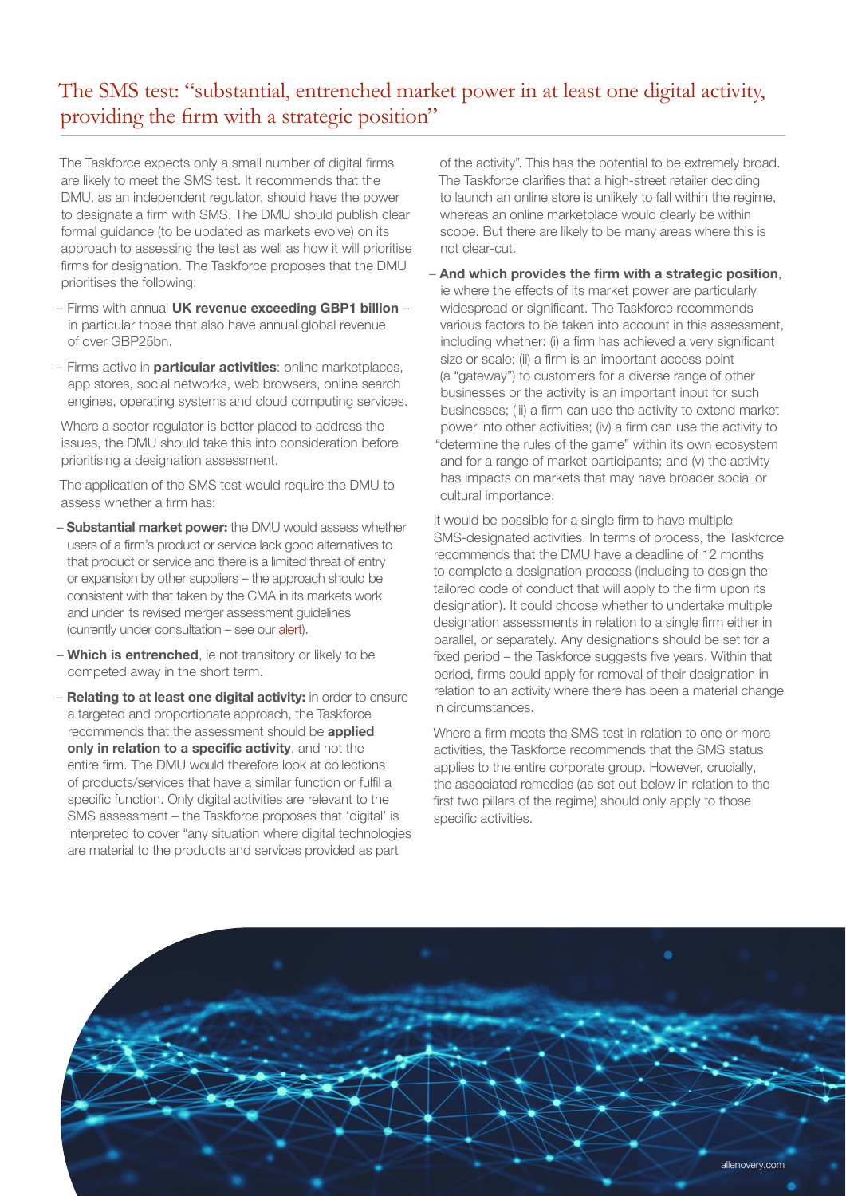## The SMS test: "substantial, entrenched market power in at least one digital activity, providing the firm with a strategic position"

The Taskforce expects only a small number of digital firms are likely to meet the SMS test. It recommends that the DMU, as an independent regulator, should have the power to designate a firm with SMS. The DMU should publish clear formal guidance (to be updated as markets evolve) on its approach to assessing the test as well as how it will prioritise firms for designation. The Taskforce proposes that the DMU prioritises the following:

- Firms with annual UK revenue exceeding GBP1 billion in particular those that also have annual global revenue of over GBP25bn.
- Firms active in **particular activities**: online marketplaces, app stores, social networks, web browsers, online search engines, operating systems and cloud computing services.

Where a sector regulator is better placed to address the issues, the DMU should take this into consideration before prioritising a designation assessment.

The application of the SMS test would require the DMU to assess whether a firm has:

- **Substantial market power:** the DMU would assess whether users of a firm's product or service lack good alternatives to that product or service and there is a limited threat of entry or expansion by other suppliers – the approach should be consistent with that taken by the CMA in its markets work and under its revised merger assessment guidelines (currently under consultation – see our [alert\)](https://www.allenovery.com/en-gb/global/news-and-insights/publications/uk-merger-control-cma-sets-out-its-approach-to-assessing-mergers-in-an-increasingly-dynamic-and-digital-world).
- Which is entrenched, ie not transitory or likely to be competed away in the short term.
- Relating to at least one digital activity: in order to ensure a targeted and proportionate approach, the Taskforce recommends that the assessment should be **applied** only in relation to a specific activity, and not the entire firm. The DMU would therefore look at collections of products/services that have a similar function or fulfil a specific function. Only digital activities are relevant to the SMS assessment – the Taskforce proposes that 'digital' is interpreted to cover "any situation where digital technologies are material to the products and services provided as part

of the activity". This has the potential to be extremely broad. The Taskforce clarifies that a high-street retailer deciding to launch an online store is unlikely to fall within the regime, whereas an online marketplace would clearly be within scope. But there are likely to be many areas where this is not clear-cut.

– And which provides the firm with a strategic position, ie where the effects of its market power are particularly widespread or significant. The Taskforce recommends various factors to be taken into account in this assessment, including whether: (i) a firm has achieved a very significant size or scale; (ii) a firm is an important access point (a "gateway") to customers for a diverse range of other businesses or the activity is an important input for such businesses; (iii) a firm can use the activity to extend market power into other activities; (iv) a firm can use the activity to "determine the rules of the game" within its own ecosystem and for a range of market participants; and (v) the activity has impacts on markets that may have broader social or cultural importance.

It would be possible for a single firm to have multiple SMS-designated activities. In terms of process, the Taskforce recommends that the DMU have a deadline of 12 months to complete a designation process (including to design the tailored code of conduct that will apply to the firm upon its designation). It could choose whether to undertake multiple designation assessments in relation to a single firm either in parallel, or separately. Any designations should be set for a fixed period – the Taskforce suggests five years. Within that period, firms could apply for removal of their designation in relation to an activity where there has been a material change in circumstances.

Where a firm meets the SMS test in relation to one or more activities, the Taskforce recommends that the SMS status applies to the entire corporate group. However, crucially, the associated remedies (as set out below in relation to the first two pillars of the regime) should only apply to those specific activities.

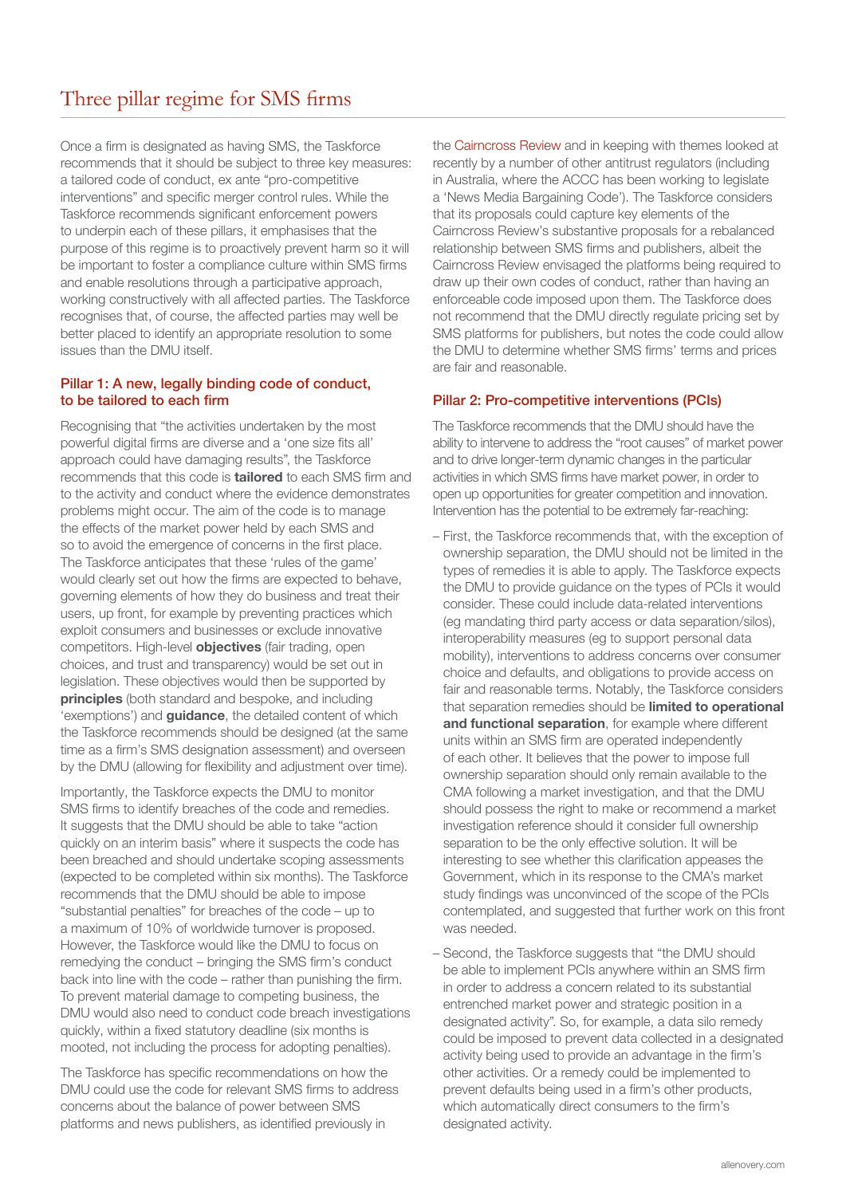Once a firm is designated as having SMS, the Taskforce recommends that it should be subject to three key measures: a tailored code of conduct, ex ante "pro-competitive interventions" and specific merger control rules. While the Taskforce recommends significant enforcement powers to underpin each of these pillars, it emphasises that the purpose of this regime is to proactively prevent harm so it will be important to foster a compliance culture within SMS firms and enable resolutions through a participative approach, working constructively with all affected parties. The Taskforce recognises that, of course, the affected parties may well be better placed to identify an appropriate resolution to some issues than the DMU itself.

#### Pillar 1: A new, legally binding code of conduct, to be tailored to each firm

Recognising that "the activities undertaken by the most powerful digital firms are diverse and a 'one size fits all' approach could have damaging results", the Taskforce recommends that this code is tailored to each SMS firm and to the activity and conduct where the evidence demonstrates problems might occur. The aim of the code is to manage the effects of the market power held by each SMS and so to avoid the emergence of concerns in the first place. The Taskforce anticipates that these 'rules of the game' would clearly set out how the firms are expected to behave, governing elements of how they do business and treat their users, up front, for example by preventing practices which exploit consumers and businesses or exclude innovative competitors. High-level **objectives** (fair trading, open choices, and trust and transparency) would be set out in legislation. These objectives would then be supported by principles (both standard and bespoke, and including 'exemptions') and guidance, the detailed content of which the Taskforce recommends should be designed (at the same time as a firm's SMS designation assessment) and overseen by the DMU (allowing for flexibility and adjustment over time).

Importantly, the Taskforce expects the DMU to monitor SMS firms to identify breaches of the code and remedies. It suggests that the DMU should be able to take "action quickly on an interim basis" where it suspects the code has been breached and should undertake scoping assessments (expected to be completed within six months). The Taskforce recommends that the DMU should be able to impose "substantial penalties" for breaches of the code – up to a maximum of 10% of worldwide turnover is proposed. However, the Taskforce would like the DMU to focus on remedying the conduct – bringing the SMS firm's conduct back into line with the code – rather than punishing the firm. To prevent material damage to competing business, the DMU would also need to conduct code breach investigations quickly, within a fixed statutory deadline (six months is mooted, not including the process for adopting penalties).

The Taskforce has specific recommendations on how the DMU could use the code for relevant SMS firms to address concerns about the balance of power between SMS platforms and news publishers, as identified previously in

the [Cairncross Review](https://www.gov.uk/government/publications/the-cairncross-review-a-sustainable-future-for-journalism) and in keeping with themes looked at recently by a number of other antitrust regulators (including in Australia, where the ACCC has been working to legislate a 'News Media Bargaining Code'). The Taskforce considers that its proposals could capture key elements of the Cairncross Review's substantive proposals for a rebalanced relationship between SMS firms and publishers, albeit the Cairncross Review envisaged the platforms being required to draw up their own codes of conduct, rather than having an enforceable code imposed upon them. The Taskforce does not recommend that the DMU directly regulate pricing set by SMS platforms for publishers, but notes the code could allow the DMU to determine whether SMS firms' terms and prices are fair and reasonable.

#### Pillar 2: Pro-competitive interventions (PCIs)

The Taskforce recommends that the DMU should have the ability to intervene to address the "root causes" of market power and to drive longer-term dynamic changes in the particular activities in which SMS firms have market power, in order to open up opportunities for greater competition and innovation. Intervention has the potential to be extremely far-reaching:

- First, the Taskforce recommends that, with the exception of ownership separation, the DMU should not be limited in the types of remedies it is able to apply. The Taskforce expects the DMU to provide guidance on the types of PCIs it would consider. These could include data-related interventions (eg mandating third party access or data separation/silos), interoperability measures (eg to support personal data mobility), interventions to address concerns over consumer choice and defaults, and obligations to provide access on fair and reasonable terms. Notably, the Taskforce considers that separation remedies should be limited to operational and functional separation, for example where different units within an SMS firm are operated independently of each other. It believes that the power to impose full ownership separation should only remain available to the CMA following a market investigation, and that the DMU should possess the right to make or recommend a market investigation reference should it consider full ownership separation to be the only effective solution. It will be interesting to see whether this clarification appeases the Government, which in its response to the CMA's market study findings was unconvinced of the scope of the PCIs contemplated, and suggested that further work on this front was needed.
- Second, the Taskforce suggests that "the DMU should be able to implement PCIs anywhere within an SMS firm in order to address a concern related to its substantial entrenched market power and strategic position in a designated activity". So, for example, a data silo remedy could be imposed to prevent data collected in a designated activity being used to provide an advantage in the firm's other activities. Or a remedy could be implemented to prevent defaults being used in a firm's other products, which automatically direct consumers to the firm's designated activity.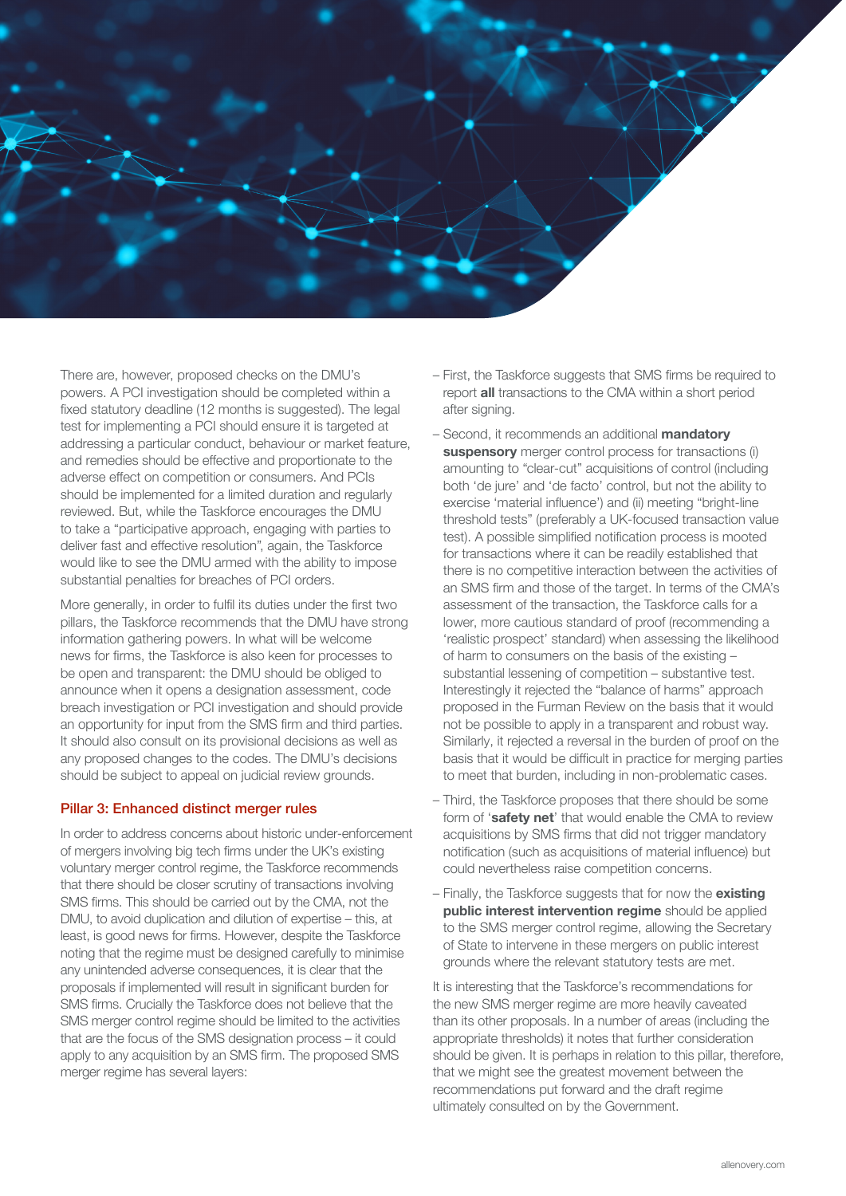

There are, however, proposed checks on the DMU's powers. A PCI investigation should be completed within a fixed statutory deadline (12 months is suggested). The legal test for implementing a PCI should ensure it is targeted at addressing a particular conduct, behaviour or market feature, and remedies should be effective and proportionate to the adverse effect on competition or consumers. And PCIs should be implemented for a limited duration and regularly reviewed. But, while the Taskforce encourages the DMU to take a "participative approach, engaging with parties to deliver fast and effective resolution", again, the Taskforce would like to see the DMU armed with the ability to impose substantial penalties for breaches of PCI orders.

More generally, in order to fulfil its duties under the first two pillars, the Taskforce recommends that the DMU have strong information gathering powers. In what will be welcome news for firms, the Taskforce is also keen for processes to be open and transparent: the DMU should be obliged to announce when it opens a designation assessment, code breach investigation or PCI investigation and should provide an opportunity for input from the SMS firm and third parties. It should also consult on its provisional decisions as well as any proposed changes to the codes. The DMU's decisions should be subject to appeal on judicial review grounds.

#### Pillar 3: Enhanced distinct merger rules

In order to address concerns about historic under-enforcement of mergers involving big tech firms under the UK's existing voluntary merger control regime, the Taskforce recommends that there should be closer scrutiny of transactions involving SMS firms. This should be carried out by the CMA, not the DMU, to avoid duplication and dilution of expertise – this, at least, is good news for firms. However, despite the Taskforce noting that the regime must be designed carefully to minimise any unintended adverse consequences, it is clear that the proposals if implemented will result in significant burden for SMS firms. Crucially the Taskforce does not believe that the SMS merger control regime should be limited to the activities that are the focus of the SMS designation process – it could apply to any acquisition by an SMS firm. The proposed SMS merger regime has several layers:

- First, the Taskforce suggests that SMS firms be required to report all transactions to the CMA within a short period after signing.
- Second, it recommends an additional **mandatory** suspensory merger control process for transactions (i) amounting to "clear-cut" acquisitions of control (including both 'de jure' and 'de facto' control, but not the ability to exercise 'material influence') and (ii) meeting "bright-line threshold tests" (preferably a UK-focused transaction value test). A possible simplified notification process is mooted for transactions where it can be readily established that there is no competitive interaction between the activities of an SMS firm and those of the target. In terms of the CMA's assessment of the transaction, the Taskforce calls for a lower, more cautious standard of proof (recommending a 'realistic prospect' standard) when assessing the likelihood of harm to consumers on the basis of the existing – substantial lessening of competition – substantive test. Interestingly it rejected the "balance of harms" approach proposed in the Furman Review on the basis that it would not be possible to apply in a transparent and robust way. Similarly, it rejected a reversal in the burden of proof on the basis that it would be difficult in practice for merging parties to meet that burden, including in non-problematic cases.
- Third, the Taskforce proposes that there should be some form of 'safety net' that would enable the CMA to review acquisitions by SMS firms that did not trigger mandatory notification (such as acquisitions of material influence) but could nevertheless raise competition concerns.
- Finally, the Taskforce suggests that for now the existing public interest intervention regime should be applied to the SMS merger control regime, allowing the Secretary of State to intervene in these mergers on public interest grounds where the relevant statutory tests are met.

It is interesting that the Taskforce's recommendations for the new SMS merger regime are more heavily caveated than its other proposals. In a number of areas (including the appropriate thresholds) it notes that further consideration should be given. It is perhaps in relation to this pillar, therefore, that we might see the greatest movement between the recommendations put forward and the draft regime ultimately consulted on by the Government.